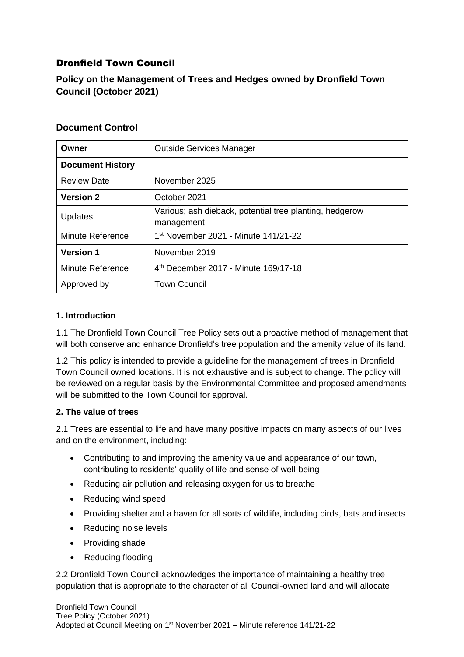# Dronfield Town Council

**Policy on the Management of Trees and Hedges owned by Dronfield Town Council (October 2021)**

## **Document Control**

| Owner                   | <b>Outside Services Manager</b>                                       |  |  |  |
|-------------------------|-----------------------------------------------------------------------|--|--|--|
| <b>Document History</b> |                                                                       |  |  |  |
| <b>Review Date</b>      | November 2025                                                         |  |  |  |
| <b>Version 2</b>        | October 2021                                                          |  |  |  |
| Updates                 | Various; ash dieback, potential tree planting, hedgerow<br>management |  |  |  |
| <b>Minute Reference</b> | 1 <sup>st</sup> November 2021 - Minute 141/21-22                      |  |  |  |
| <b>Version 1</b>        | November 2019                                                         |  |  |  |
| <b>Minute Reference</b> | 4 <sup>th</sup> December 2017 - Minute 169/17-18                      |  |  |  |
| Approved by             | <b>Town Council</b>                                                   |  |  |  |

### **1. Introduction**

1.1 The Dronfield Town Council Tree Policy sets out a proactive method of management that will both conserve and enhance Dronfield's tree population and the amenity value of its land.

1.2 This policy is intended to provide a guideline for the management of trees in Dronfield Town Council owned locations. It is not exhaustive and is subject to change. The policy will be reviewed on a regular basis by the Environmental Committee and proposed amendments will be submitted to the Town Council for approval.

### **2. The value of trees**

2.1 Trees are essential to life and have many positive impacts on many aspects of our lives and on the environment, including:

- Contributing to and improving the amenity value and appearance of our town, contributing to residents' quality of life and sense of well-being
- Reducing air pollution and releasing oxygen for us to breathe
- Reducing wind speed
- Providing shelter and a haven for all sorts of wildlife, including birds, bats and insects
- Reducing noise levels
- Providing shade
- Reducing flooding.

2.2 Dronfield Town Council acknowledges the importance of maintaining a healthy tree population that is appropriate to the character of all Council-owned land and will allocate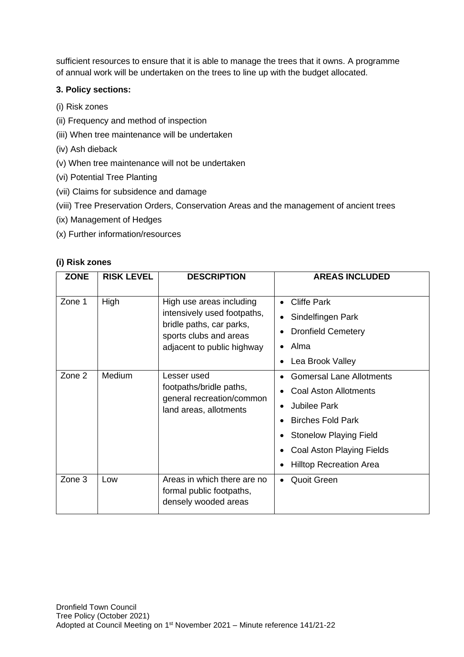sufficient resources to ensure that it is able to manage the trees that it owns. A programme of annual work will be undertaken on the trees to line up with the budget allocated.

#### **3. Policy sections:**

- (i) Risk zones
- (ii) Frequency and method of inspection
- (iii) When tree maintenance will be undertaken
- (iv) Ash dieback
- (v) When tree maintenance will not be undertaken
- (vi) Potential Tree Planting
- (vii) Claims for subsidence and damage
- (viii) Tree Preservation Orders, Conservation Areas and the management of ancient trees
- (ix) Management of Hedges
- (x) Further information/resources

#### **(i) Risk zones**

| <b>ZONE</b> | <b>RISK LEVEL</b> | <b>DESCRIPTION</b>                                                                                                                          | <b>AREAS INCLUDED</b>                                                                                                                                                                                       |
|-------------|-------------------|---------------------------------------------------------------------------------------------------------------------------------------------|-------------------------------------------------------------------------------------------------------------------------------------------------------------------------------------------------------------|
| Zone 1      | High              | High use areas including<br>intensively used footpaths,<br>bridle paths, car parks,<br>sports clubs and areas<br>adjacent to public highway | <b>Cliffe Park</b><br>Sindelfingen Park<br>$\bullet$<br><b>Dronfield Cemetery</b><br>Alma<br>Lea Brook Valley                                                                                               |
| Zone 2      | Medium            | Lesser used<br>footpaths/bridle paths,<br>general recreation/common<br>land areas, allotments                                               | <b>Gomersal Lane Allotments</b><br><b>Coal Aston Allotments</b><br>Jubilee Park<br><b>Birches Fold Park</b><br><b>Stonelow Playing Field</b><br>Coal Aston Playing Fields<br><b>Hilltop Recreation Area</b> |
| Zone 3      | Low               | Areas in which there are no<br>formal public footpaths,<br>densely wooded areas                                                             | <b>Quoit Green</b><br>$\bullet$                                                                                                                                                                             |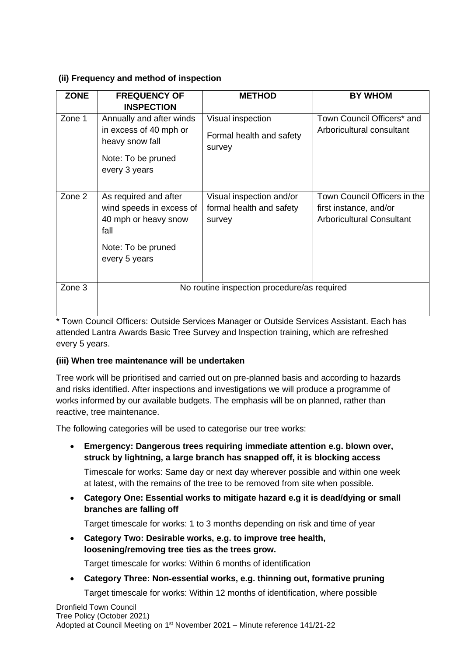### **(ii) Frequency and method of inspection**

| <b>ZONE</b>          | <b>FREQUENCY OF</b><br><b>INSPECTION</b>                                                                     | <b>METHOD</b>                                                  | <b>BY WHOM</b>                                                                             |  |  |  |
|----------------------|--------------------------------------------------------------------------------------------------------------|----------------------------------------------------------------|--------------------------------------------------------------------------------------------|--|--|--|
| Zone 1               | Annually and after winds<br>in excess of 40 mph or<br>heavy snow fall<br>Note: To be pruned<br>every 3 years | Visual inspection<br>Formal health and safety<br>survey        | Town Council Officers* and<br>Arboricultural consultant                                    |  |  |  |
| Zone 2               | As required and after<br>wind speeds in excess of<br>40 mph or heavy snow<br>fall                            | Visual inspection and/or<br>formal health and safety<br>survey | Town Council Officers in the<br>first instance, and/or<br><b>Arboricultural Consultant</b> |  |  |  |
|                      | Note: To be pruned<br>every 5 years                                                                          |                                                                |                                                                                            |  |  |  |
| Zone 3<br><u>. –</u> | No routine inspection procedure/as required<br>$\sim$ $\sim$ $\sim$ $\sim$ $\sim$<br>$\cdots$<br>. .         |                                                                |                                                                                            |  |  |  |

\* Town Council Officers: Outside Services Manager or Outside Services Assistant. Each has attended Lantra Awards Basic Tree Survey and Inspection training, which are refreshed every 5 years.

### **(iii) When tree maintenance will be undertaken**

Tree work will be prioritised and carried out on pre-planned basis and according to hazards and risks identified. After inspections and investigations we will produce a programme of works informed by our available budgets. The emphasis will be on planned, rather than reactive, tree maintenance.

The following categories will be used to categorise our tree works:

• **Emergency: Dangerous trees requiring immediate attention e.g. blown over, struck by lightning, a large branch has snapped off, it is blocking access**

Timescale for works: Same day or next day wherever possible and within one week at latest, with the remains of the tree to be removed from site when possible.

• **Category One: Essential works to mitigate hazard e.g it is dead/dying or small branches are falling off**

Target timescale for works: 1 to 3 months depending on risk and time of year

• **Category Two: Desirable works, e.g. to improve tree health, loosening/removing tree ties as the trees grow.**

Target timescale for works: Within 6 months of identification

• **Category Three: Non**‐**essential works, e.g. thinning out, formative pruning** Target timescale for works: Within 12 months of identification, where possible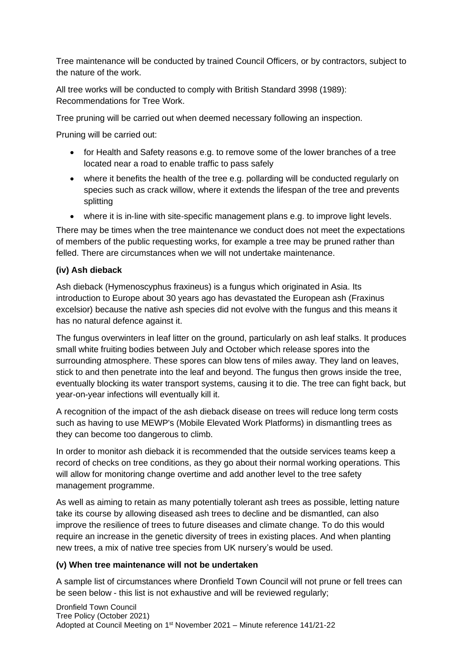Tree maintenance will be conducted by trained Council Officers, or by contractors, subject to the nature of the work.

All tree works will be conducted to comply with British Standard 3998 (1989): Recommendations for Tree Work.

Tree pruning will be carried out when deemed necessary following an inspection.

Pruning will be carried out:

- for Health and Safety reasons e.g. to remove some of the lower branches of a tree located near a road to enable traffic to pass safely
- where it benefits the health of the tree e.g. pollarding will be conducted regularly on species such as crack willow, where it extends the lifespan of the tree and prevents splitting
- where it is in-line with site-specific management plans e.g. to improve light levels.

There may be times when the tree maintenance we conduct does not meet the expectations of members of the public requesting works, for example a tree may be pruned rather than felled. There are circumstances when we will not undertake maintenance.

## **(iv) Ash dieback**

Ash dieback (Hymenoscyphus fraxineus) is a fungus which originated in Asia. Its introduction to Europe about 30 years ago has devastated the European ash (Fraxinus excelsior) because the native ash species did not evolve with the fungus and this means it has no natural defence against it.

The fungus overwinters in leaf litter on the ground, particularly on ash leaf stalks. It produces small white fruiting bodies between July and October which release spores into the surrounding atmosphere. These spores can blow tens of miles away. They land on leaves, stick to and then penetrate into the leaf and beyond. The fungus then grows inside the tree, eventually blocking its water transport systems, causing it to die. The tree can fight back, but year-on-year infections will eventually kill it.

A recognition of the impact of the ash dieback disease on trees will reduce long term costs such as having to use MEWP's (Mobile Elevated Work Platforms) in dismantling trees as they can become too dangerous to climb.

In order to monitor ash dieback it is recommended that the outside services teams keep a record of checks on tree conditions, as they go about their normal working operations. This will allow for monitoring change overtime and add another level to the tree safety management programme.

As well as aiming to retain as many potentially tolerant ash trees as possible, letting nature take its course by allowing diseased ash trees to decline and be dismantled, can also improve the resilience of trees to future diseases and climate change. To do this would require an increase in the genetic diversity of trees in existing places. And when planting new trees, a mix of native tree species from UK nursery's would be used.

### **(v) When tree maintenance will not be undertaken**

A sample list of circumstances where Dronfield Town Council will not prune or fell trees can be seen below - this list is not exhaustive and will be reviewed regularly;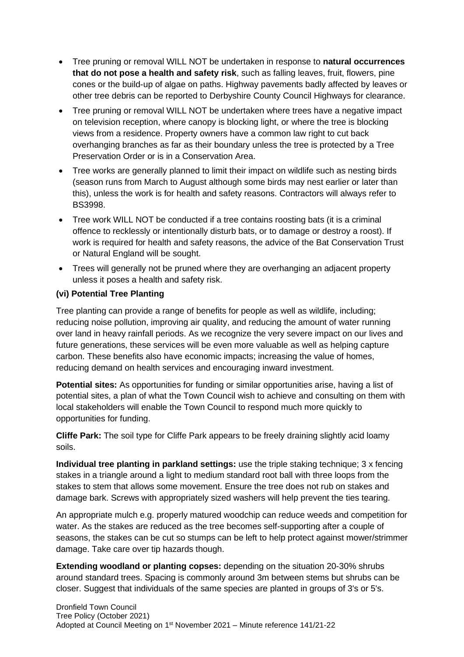- Tree pruning or removal WILL NOT be undertaken in response to **natural occurrences that do not pose a health and safety risk**, such as falling leaves, fruit, flowers, pine cones or the build-up of algae on paths. Highway pavements badly affected by leaves or other tree debris can be reported to Derbyshire County Council Highways for clearance.
- Tree pruning or removal WILL NOT be undertaken where trees have a negative impact on television reception, where canopy is blocking light, or where the tree is blocking views from a residence. Property owners have a common law right to cut back overhanging branches as far as their boundary unless the tree is protected by a Tree Preservation Order or is in a Conservation Area.
- Tree works are generally planned to limit their impact on wildlife such as nesting birds (season runs from March to August although some birds may nest earlier or later than this), unless the work is for health and safety reasons. Contractors will always refer to BS3998.
- Tree work WILL NOT be conducted if a tree contains roosting bats (it is a criminal offence to recklessly or intentionally disturb bats, or to damage or destroy a roost). If work is required for health and safety reasons, the advice of the Bat Conservation Trust or Natural England will be sought.
- Trees will generally not be pruned where they are overhanging an adjacent property unless it poses a health and safety risk.

### **(vi) Potential Tree Planting**

Tree planting can provide a range of benefits for people as well as wildlife, including; reducing noise pollution, improving air quality, and reducing the amount of water running over land in heavy rainfall periods. As we recognize the very severe impact on our lives and future generations, these services will be even more valuable as well as helping capture carbon. These benefits also have economic impacts; increasing the value of homes, reducing demand on health services and encouraging inward investment.

**Potential sites:** As opportunities for funding or similar opportunities arise, having a list of potential sites, a plan of what the Town Council wish to achieve and consulting on them with local stakeholders will enable the Town Council to respond much more quickly to opportunities for funding.

**Cliffe Park:** The soil type for Cliffe Park appears to be freely draining slightly acid loamy soils.

**Individual tree planting in parkland settings:** use the triple staking technique; 3 x fencing stakes in a triangle around a light to medium standard root ball with three loops from the stakes to stem that allows some movement. Ensure the tree does not rub on stakes and damage bark. Screws with appropriately sized washers will help prevent the ties tearing.

An appropriate mulch e.g. properly matured woodchip can reduce weeds and competition for water. As the stakes are reduced as the tree becomes self-supporting after a couple of seasons, the stakes can be cut so stumps can be left to help protect against mower/strimmer damage. Take care over tip hazards though.

**Extending woodland or planting copses:** depending on the situation 20-30% shrubs around standard trees. Spacing is commonly around 3m between stems but shrubs can be closer. Suggest that individuals of the same species are planted in groups of 3's or 5's.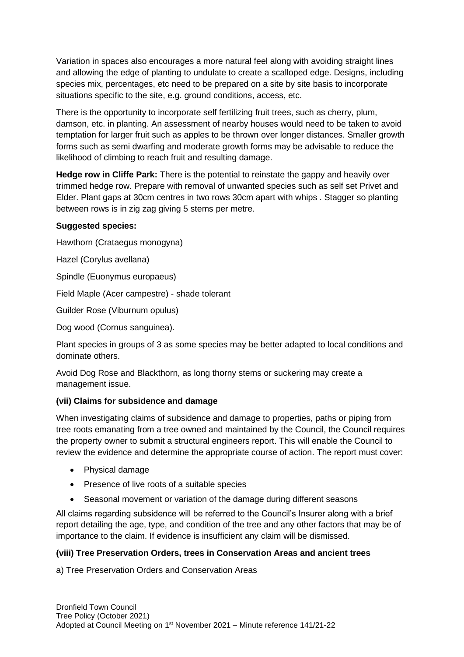Variation in spaces also encourages a more natural feel along with avoiding straight lines and allowing the edge of planting to undulate to create a scalloped edge. Designs, including species mix, percentages, etc need to be prepared on a site by site basis to incorporate situations specific to the site, e.g. ground conditions, access, etc.

There is the opportunity to incorporate self fertilizing fruit trees, such as cherry, plum, damson, etc. in planting. An assessment of nearby houses would need to be taken to avoid temptation for larger fruit such as apples to be thrown over longer distances. Smaller growth forms such as semi dwarfing and moderate growth forms may be advisable to reduce the likelihood of climbing to reach fruit and resulting damage.

**Hedge row in Cliffe Park:** There is the potential to reinstate the gappy and heavily over trimmed hedge row. Prepare with removal of unwanted species such as self set Privet and Elder. Plant gaps at 30cm centres in two rows 30cm apart with whips . Stagger so planting between rows is in zig zag giving 5 stems per metre.

#### **Suggested species:**

Hawthorn (Crataegus monogyna)

Hazel (Corylus avellana)

Spindle (Euonymus europaeus)

Field Maple (Acer campestre) - shade tolerant

Guilder Rose (Viburnum opulus)

Dog wood (Cornus sanguinea).

Plant species in groups of 3 as some species may be better adapted to local conditions and dominate others.

Avoid Dog Rose and Blackthorn, as long thorny stems or suckering may create a management issue.

### **(vii) Claims for subsidence and damage**

When investigating claims of subsidence and damage to properties, paths or piping from tree roots emanating from a tree owned and maintained by the Council, the Council requires the property owner to submit a structural engineers report. This will enable the Council to review the evidence and determine the appropriate course of action. The report must cover:

- Physical damage
- Presence of live roots of a suitable species
- Seasonal movement or variation of the damage during different seasons

All claims regarding subsidence will be referred to the Council's Insurer along with a brief report detailing the age, type, and condition of the tree and any other factors that may be of importance to the claim. If evidence is insufficient any claim will be dismissed.

### **(viii) Tree Preservation Orders, trees in Conservation Areas and ancient trees**

a) Tree Preservation Orders and Conservation Areas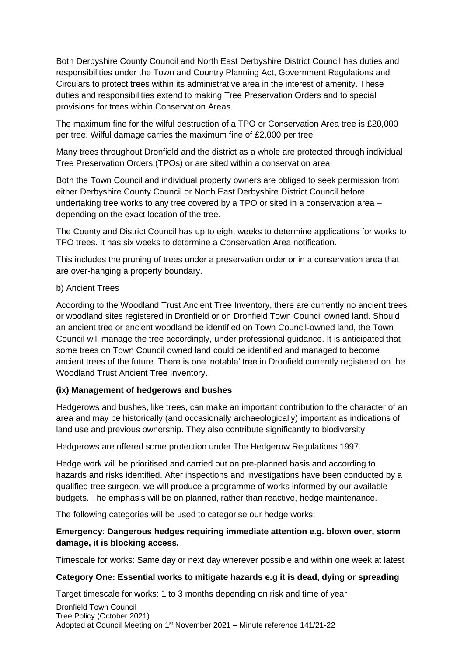Both Derbyshire County Council and North East Derbyshire District Council has duties and responsibilities under the Town and Country Planning Act, Government Regulations and Circulars to protect trees within its administrative area in the interest of amenity. These duties and responsibilities extend to making Tree Preservation Orders and to special provisions for trees within Conservation Areas.

The maximum fine for the wilful destruction of a TPO or Conservation Area tree is £20,000 per tree. Wilful damage carries the maximum fine of £2,000 per tree.

Many trees throughout Dronfield and the district as a whole are protected through individual Tree Preservation Orders (TPOs) or are sited within a conservation area.

Both the Town Council and individual property owners are obliged to seek permission from either Derbyshire County Council or North East Derbyshire District Council before undertaking tree works to any tree covered by a TPO or sited in a conservation area – depending on the exact location of the tree.

The County and District Council has up to eight weeks to determine applications for works to TPO trees. It has six weeks to determine a Conservation Area notification.

This includes the pruning of trees under a preservation order or in a conservation area that are over-hanging a property boundary.

#### b) Ancient Trees

According to the Woodland Trust Ancient Tree Inventory, there are currently no ancient trees or woodland sites registered in Dronfield or on Dronfield Town Council owned land. Should an ancient tree or ancient woodland be identified on Town Council-owned land, the Town Council will manage the tree accordingly, under professional guidance. It is anticipated that some trees on Town Council owned land could be identified and managed to become ancient trees of the future. There is one 'notable' tree in Dronfield currently registered on the Woodland Trust Ancient Tree Inventory.

### **(ix) Management of hedgerows and bushes**

Hedgerows and bushes, like trees, can make an important contribution to the character of an area and may be historically (and occasionally archaeologically) important as indications of land use and previous ownership. They also contribute significantly to biodiversity.

Hedgerows are offered some protection under The Hedgerow Regulations 1997.

Hedge work will be prioritised and carried out on pre-planned basis and according to hazards and risks identified. After inspections and investigations have been conducted by a qualified tree surgeon, we will produce a programme of works informed by our available budgets. The emphasis will be on planned, rather than reactive, hedge maintenance.

The following categories will be used to categorise our hedge works:

### **Emergency**: **Dangerous hedges requiring immediate attention e.g. blown over, storm damage, it is blocking access.**

Timescale for works: Same day or next day wherever possible and within one week at latest

### **Category One: Essential works to mitigate hazards e.g it is dead, dying or spreading**

Target timescale for works: 1 to 3 months depending on risk and time of year